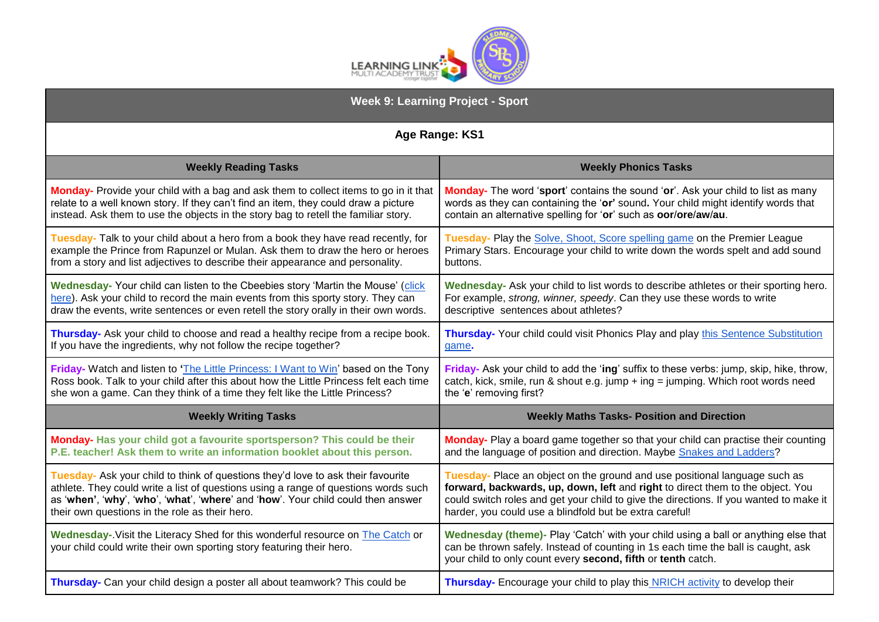

| <b>Week 9: Learning Project - Sport</b>                                                                                                                  |                                                                                                                                                                                                                                         |
|----------------------------------------------------------------------------------------------------------------------------------------------------------|-----------------------------------------------------------------------------------------------------------------------------------------------------------------------------------------------------------------------------------------|
| Age Range: KS1                                                                                                                                           |                                                                                                                                                                                                                                         |
| <b>Weekly Reading Tasks</b>                                                                                                                              | <b>Weekly Phonics Tasks</b>                                                                                                                                                                                                             |
| Monday- Provide your child with a bag and ask them to collect items to go in it that                                                                     | <b>Monday-</b> The word 'sport' contains the sound 'or'. Ask your child to list as many                                                                                                                                                 |
| relate to a well known story. If they can't find an item, they could draw a picture                                                                      | words as they can containing the 'or' sound. Your child might identify words that                                                                                                                                                       |
| instead. Ask them to use the objects in the story bag to retell the familiar story.                                                                      | contain an alternative spelling for 'or' such as oor/ore/aw/au.                                                                                                                                                                         |
| Tuesday- Talk to your child about a hero from a book they have read recently, for                                                                        | Tuesday- Play the Solve, Shoot, Score spelling game on the Premier League                                                                                                                                                               |
| example the Prince from Rapunzel or Mulan. Ask them to draw the hero or heroes                                                                           | Primary Stars. Encourage your child to write down the words spelt and add sound                                                                                                                                                         |
| from a story and list adjectives to describe their appearance and personality.                                                                           | buttons.                                                                                                                                                                                                                                |
| Wednesday- Your child can listen to the Cbeebies story 'Martin the Mouse' (click                                                                         | Wednesday- Ask your child to list words to describe athletes or their sporting hero.                                                                                                                                                    |
| here). Ask your child to record the main events from this sporty story. They can                                                                         | For example, strong, winner, speedy. Can they use these words to write                                                                                                                                                                  |
| draw the events, write sentences or even retell the story orally in their own words.                                                                     | descriptive sentences about athletes?                                                                                                                                                                                                   |
| Thursday- Ask your child to choose and read a healthy recipe from a recipe book.                                                                         | Thursday- Your child could visit Phonics Play and play this Sentence Substitution                                                                                                                                                       |
| If you have the ingredients, why not follow the recipe together?                                                                                         | game.                                                                                                                                                                                                                                   |
| Friday- Watch and listen to 'The Little Princess: I Want to Win' based on the Tony                                                                       | Friday- Ask your child to add the 'ing' suffix to these verbs: jump, skip, hike, throw,                                                                                                                                                 |
| Ross book. Talk to your child after this about how the Little Princess felt each time                                                                    | catch, kick, smile, run & shout e.g. jump + ing = jumping. Which root words need                                                                                                                                                        |
| she won a game. Can they think of a time they felt like the Little Princess?                                                                             | the 'e' removing first?                                                                                                                                                                                                                 |
| <b>Weekly Writing Tasks</b>                                                                                                                              | <b>Weekly Maths Tasks- Position and Direction</b>                                                                                                                                                                                       |
| Monday- Has your child got a favourite sportsperson? This could be their                                                                                 | Monday- Play a board game together so that your child can practise their counting                                                                                                                                                       |
| P.E. teacher! Ask them to write an information booklet about this person.                                                                                | and the language of position and direction. Maybe Snakes and Ladders?                                                                                                                                                                   |
| Tuesday- Ask your child to think of questions they'd love to ask their favourite                                                                         | Tuesday- Place an object on the ground and use positional language such as                                                                                                                                                              |
| athlete. They could write a list of questions using a range of questions words such                                                                      | forward, backwards, up, down, left and right to direct them to the object. You                                                                                                                                                          |
| as 'when', 'why', 'who', 'what', 'where' and 'how'. Your child could then answer                                                                         | could switch roles and get your child to give the directions. If you wanted to make it                                                                                                                                                  |
| their own questions in the role as their hero.                                                                                                           | harder, you could use a blindfold but be extra careful!                                                                                                                                                                                 |
| Wednesday-. Visit the Literacy Shed for this wonderful resource on The Catch or<br>your child could write their own sporting story featuring their hero. | Wednesday (theme)- Play 'Catch' with your child using a ball or anything else that<br>can be thrown safely. Instead of counting in 1s each time the ball is caught, ask<br>your child to only count every second, fifth or tenth catch. |
| Thursday- Can your child design a poster all about teamwork? This could be                                                                               | Thursday- Encourage your child to play this NRICH activity to develop their                                                                                                                                                             |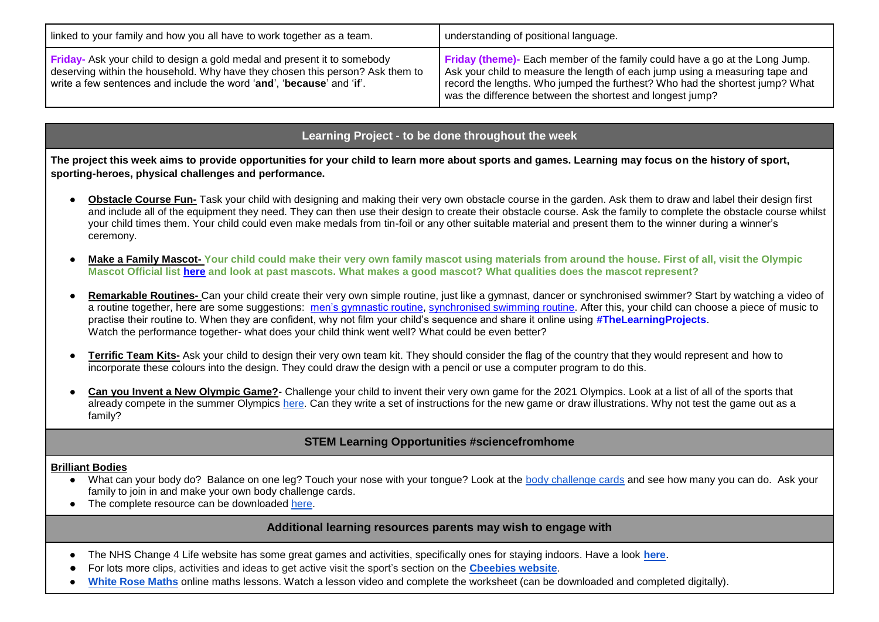| linked to your family and how you all have to work together as a team.                                                                                                                                                                                       | understanding of positional language.                                                                                                                                                                                                                                                                            |
|--------------------------------------------------------------------------------------------------------------------------------------------------------------------------------------------------------------------------------------------------------------|------------------------------------------------------------------------------------------------------------------------------------------------------------------------------------------------------------------------------------------------------------------------------------------------------------------|
| Friday- Ask your child to design a gold medal and present it to somebody<br>deserving within the household. Why have they chosen this person? Ask them to<br>write a few sentences and include the word ' <b>and'</b> . ' <b>because'</b> and ' <b>if'</b> . | <b>Friday (theme)</b> - Each member of the family could have a go at the Long Jump.<br>Ask your child to measure the length of each jump using a measuring tape and<br>record the lengths. Who jumped the furthest? Who had the shortest jump? What<br>was the difference between the shortest and longest jump? |

## **Learning Project - to be done throughout the week**

**The project this week aims to provide opportunities for your child to learn more about sports and games. Learning may focus on the history of sport, sporting-heroes, physical challenges and performance.**

- **Obstacle Course Fun-** Task your child with designing and making their very own obstacle course in the garden. Ask them to draw and label their design first and include all of the equipment they need. They can then use their design to create their obstacle course. Ask the family to complete the obstacle course whilst your child times them. Your child could even make medals from tin-foil or any other suitable material and present them to the winner during a winner's ceremony.
- **Make a Family Mascot- Your child could make their very own family mascot using materials from around the house. First of all, visit the Olympic Mascot Official list [here](https://www.olympic.org/mascots) and look at past mascots. What makes a good mascot? What qualities does the mascot represent?**
- **Remarkable Routines-** Can your child create their very own simple routine, just like a gymnast, dancer or synchronised swimmer? Start by watching a video of a routine together, here are some suggestions: [men's gymnastic routine,](https://safeyoutube.net/w/V3h6) [synchronised swimming routine.](https://safeyoutube.net/w/c4h6) After this, your child can choose a piece of music to practise their routine to. When they are confident, why not film your child's sequence and share it online using **#TheLearningProjects**. Watch the performance together- what does your child think went well? What could be even better?
- **Terrific Team Kits-** Ask your child to design their very own team kit. They should consider the flag of the country that they would represent and how to incorporate these colours into the design. They could draw the design with a pencil or use a computer program to do this.
- Can you Invent a New Olympic Game?- Challenge your child to invent their very own game for the 2021 Olympics. Look at a list of all of the sports that already compete in the summer Olympics [here.](https://www.olympic.org/sports) Can they write a set of instructions for the new game or draw illustrations. Why not test the game out as a family?

## **STEM Learning Opportunities #sciencefromhome**

## **Brilliant Bodies**

- What can your body do? Balance on one leg? Touch your nose with your tongue? Look at the [body challenge cards](https://bit.ly/2yeXukg) and see how many you can do. Ask your family to join in and make your own body challenge cards.
- The complete resource can be downloaded [here.](https://bit.ly/2K3Tnu9)

**Additional learning resources parents may wish to engage with**

- The NHS Change 4 Life website has some great games and activities, specifically ones for staying indoors. Have a look **[here](https://www.nhs.uk/change4life/activities/sports-and-activities)**.
- For lots more clips, activities and ideas to get active visit the sport's section on the **[Cbeebies website](https://www.bbc.co.uk/cbeebies/topics/sports)**.
- [White Rose Maths](https://whiterosemaths.com/homelearning/) online maths lessons. Watch a lesson video and complete the worksheet (can be downloaded and completed digitally).